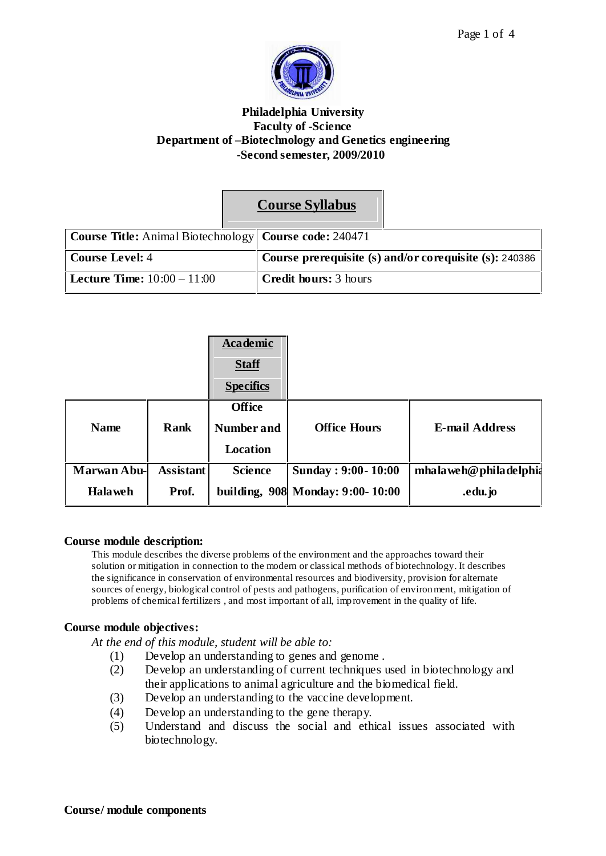

#### **Philadelphia University Faculty of -Science Department of ñBiotechnology and Genetics engineering -Second semester, 2009/2010**

|                                                                 |  | <b>Course Syllabus</b>                                 |  |
|-----------------------------------------------------------------|--|--------------------------------------------------------|--|
| <b>Course Title:</b> Animal Biotechnology   Course code: 240471 |  |                                                        |  |
| <b>Course Level: 4</b>                                          |  | Course prerequisite (s) and/or corequisite (s): 240386 |  |
| <b>Lecture Time:</b> $10:00 - 11:00$                            |  | <b>Credit hours:</b> 3 hours                           |  |

|                    |                  | Academic<br><b>Staff</b><br><b>Specifics</b>          |                                  |                                |
|--------------------|------------------|-------------------------------------------------------|----------------------------------|--------------------------------|
| <b>Name</b>        | Rank             | <b>Office</b><br><b>Number and</b><br><b>Location</b> | <b>Office Hours</b>              | <b>E-mail Address</b>          |
| <b>Marwan Abu-</b> | <b>Assistant</b> | <b>Science</b>                                        | Sunday: 9:00 - 10:00             | $mha$ la weh $@$ phila delphia |
| <b>Halaweh</b>     | Prof.            |                                                       | building, 908 Monday: 9:00-10:00 | .edu.jo                        |

#### **Course module description:**

This module describes the diverse problems of the environment and the approaches toward their solution or mitigation in connection to the modern or classical methods of biotechnology. It describes the significance in conservation of environmental resources and biodiversity, provision for alternate sources of energy, biological control of pests and pathogens, purification of environment, mitigation of problems of chemical fertilizers , and most important of all, improvement in the quality of life.

#### **Course module objectives:**

*At the end of this module, student will be able to:*

- (1) Develop an understanding to genes and genome .
- (2) Develop an understanding of current techniques used in biotechnology and their applications to animal agriculture and the biomedical field.
- (3) Develop an understanding to the vaccine development.
- (4) Develop an understanding to the gene therapy.
- (5) Understand and discuss the social and ethical issues associated with biotechnology.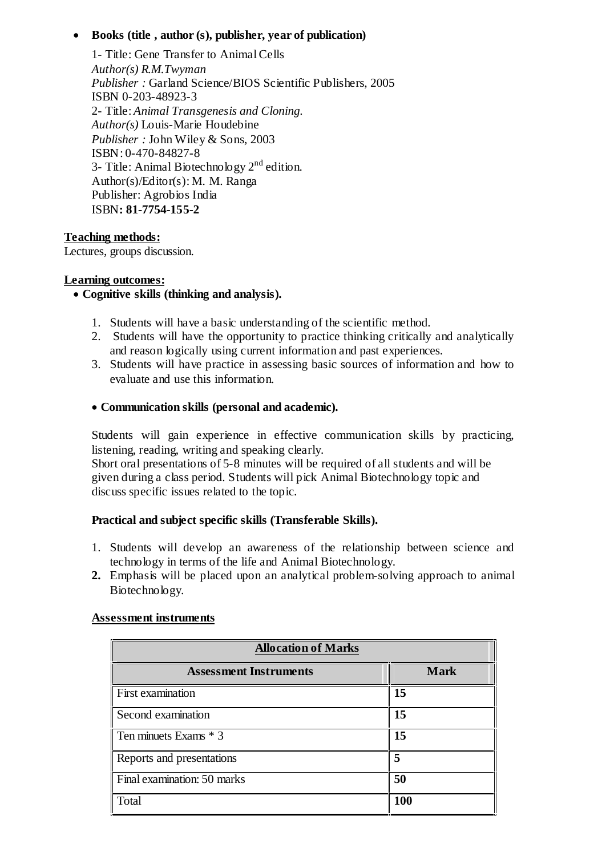# **Books (title , author (s), publisher, year of publication)**

1- Title: Gene Transfer to AnimalCells *Author(s) R.M.Twyman Publisher :* Garland Science/BIOS Scientific Publishers, 2005 ISBN 0-203-48923-3 2- Title: *Animal Transgenesis and Cloning. Author(s)* Louis-Marie Houdebine *Publisher :* John Wiley & Sons, 2003 ISBN: 0-470-84827-8 3- Title: Animal Biotechnology  $2<sup>nd</sup>$  edition. Author(s)/Editor(s): M. M. Ranga Publisher: Agrobios India ISBN**: 81-7754-155-2**

# **Teaching methods:**

Lectures, groups discussion.

# **Learning outcomes:**

# **Cognitive skills (thinking and analysis).**

- 1. Students will have a basic understanding of the scientific method.
- 2. Students will have the opportunity to practice thinking critically and analytically and reason logically using current information and past experiences.
- 3. Students will have practice in assessing basic sources of information and how to evaluate and use this information.

# **Communication skills (personal and academic).**

Students will gain experience in effective communication skills by practicing, listening, reading, writing and speaking clearly.

Short oral presentations of 5-8 minutes will be required of all students and will be given during a class period. Students will pick Animal Biotechnology topic and discuss specific issues related to the topic.

# **Practical and subject specific skills (Transferable Skills).**

- 1. Students will develop an awareness of the relationship between science and technology in terms of the life and Animal Biotechnology.
- **2.** Emphasis will be placed upon an analytical problem-solving approach to animal Biotechnology.

# **Assessment instruments**

| <b>Allocation of Marks</b>    |             |  |  |  |
|-------------------------------|-------------|--|--|--|
| <b>Assessment Instruments</b> | <b>Mark</b> |  |  |  |
| <b>First examination</b>      | 15          |  |  |  |
| Second examination            | 15          |  |  |  |
| Ten minuets Exams * 3         | 15          |  |  |  |
| Reports and presentations     | 5           |  |  |  |
| Final examination: 50 marks   | 50          |  |  |  |
| Total                         | 100         |  |  |  |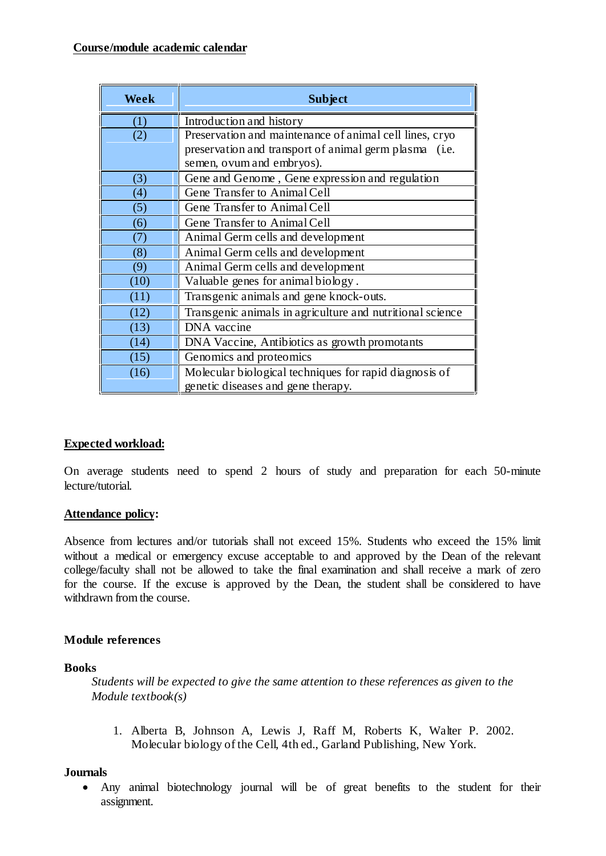| Week | <b>Subject</b>                                            |
|------|-----------------------------------------------------------|
| (1)  | Introduction and history                                  |
| (2)  | Preservation and maintenance of animal cell lines, cryo   |
|      | preservation and transport of animal germ plasma (i.e.    |
|      | semen, ovum and embryos).                                 |
| (3)  | Gene and Genome, Gene expression and regulation           |
| (4)  | Gene Transfer to Animal Cell                              |
| (5)  | Gene Transfer to Animal Cell                              |
| (6)  | Gene Transfer to Animal Cell                              |
| (7)  | Animal Germ cells and development                         |
| (8)  | Animal Germ cells and development                         |
| (9)  | Animal Germ cells and development                         |
| (10) | Valuable genes for animal biology.                        |
| (11) | Transgenic animals and gene knock-outs.                   |
| (12) | Transgenic animals in agriculture and nutritional science |
| (13) | DNA vaccine                                               |
| (14) | DNA Vaccine, Antibiotics as growth promotants             |
| (15) | Genomics and proteomics                                   |
| (16) | Molecular biological techniques for rapid diagnosis of    |
|      | genetic diseases and gene therapy.                        |

# **Expected workload:**

On average students need to spend 2 hours of study and preparation for each 50-minute lecture/tutorial.

# **Attendance policy:**

Absence from lectures and/or tutorials shall not exceed 15%. Students who exceed the 15% limit without a medical or emergency excuse acceptable to and approved by the Dean of the relevant college/faculty shall not be allowed to take the final examination and shall receive a mark of zero for the course. If the excuse is approved by the Dean, the student shall be considered to have withdrawn from the course.

# **Module references**

#### **Books**

*Students will be expected to give the same attention to these references as given to the Module textbook(s)*

1. Alberta B, Johnson A, Lewis J, Raff M, Roberts K, Walter P. 2002. Molecular biology of the Cell, 4th ed., Garland Publishing, New York.

#### **Journals**

 Any animal biotechnology journal will be of great benefits to the student for their assignment.